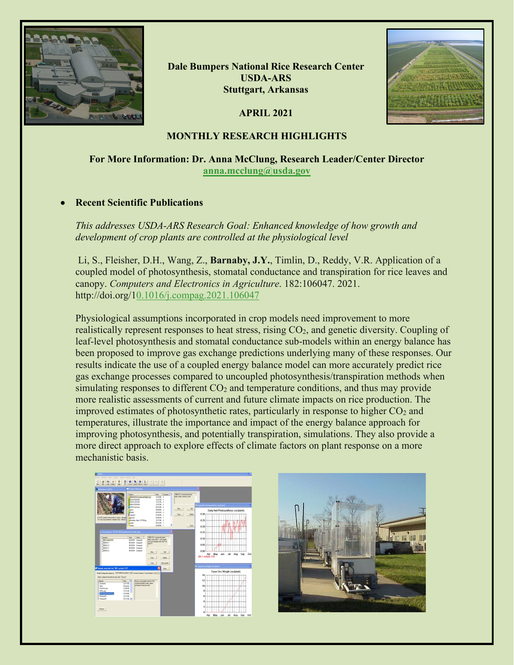

**Dale Bumpers National Rice Research Center USDA-ARS Stuttgart, Arkansas**

**APRIL 2021**



# **MONTHLY RESEARCH HIGHLIGHTS**

# **For More Information: Dr. Anna McClung, Research Leader/Center Director [anna.mcclung@usda.gov](mailto:anna.mcclung@usda.gov)**

# • **Recent Scientific Publications**

*This addresses USDA-ARS Research Goal: Enhanced knowledge of how growth and development of crop plants are controlled at the physiological level* 

Li, S., Fleisher, D.H., Wang, Z., **Barnaby, J.Y.**, Timlin, D., Reddy, V.R. Application of a coupled model of photosynthesis, stomatal conductance and transpiration for rice leaves and canopy. *Computers and Electronics in Agriculture*. 182:106047. 2021. http://doi.org/[10.1016/j.compag.2021.106047](https://doi.org/10.1016/j.compag.2021.106047)

Physiological assumptions incorporated in crop models need improvement to more realistically represent responses to heat stress, rising  $CO<sub>2</sub>$ , and genetic diversity. Coupling of leaf-level photosynthesis and stomatal conductance sub-models within an energy balance has been proposed to improve gas exchange predictions underlying many of these responses. Our results indicate the use of a coupled energy balance model can more accurately predict rice gas exchange processes compared to uncoupled photosynthesis/transpiration methods when simulating responses to different  $CO<sub>2</sub>$  and temperature conditions, and thus may provide more realistic assessments of current and future climate impacts on rice production. The improved estimates of photosynthetic rates, particularly in response to higher  $CO<sub>2</sub>$  and temperatures, illustrate the importance and impact of the energy balance approach for improving photosynthesis, and potentially transpiration, simulations. They also provide a more direct approach to explore effects of climate factors on plant response on a more mechanistic basis.

| Calcula Polis tradier Calcula Media                                                                                                                                                                                                                                                                  |                                                                                                                                                                                                                                                                                                                                                                                                                                         |                                                                                                                                                                                                                                                                                                            |                                                                                      |                                                                                                        |                                      |                                                                                             |                 |     |     |     |
|------------------------------------------------------------------------------------------------------------------------------------------------------------------------------------------------------------------------------------------------------------------------------------------------------|-----------------------------------------------------------------------------------------------------------------------------------------------------------------------------------------------------------------------------------------------------------------------------------------------------------------------------------------------------------------------------------------------------------------------------------------|------------------------------------------------------------------------------------------------------------------------------------------------------------------------------------------------------------------------------------------------------------------------------------------------------------|--------------------------------------------------------------------------------------|--------------------------------------------------------------------------------------------------------|--------------------------------------|---------------------------------------------------------------------------------------------|-----------------|-----|-----|-----|
|                                                                                                                                                                                                                                                                                                      |                                                                                                                                                                                                                                                                                                                                                                                                                                         |                                                                                                                                                                                                                                                                                                            |                                                                                      |                                                                                                        |                                      |                                                                                             |                 |     |     |     |
| $-1000$                                                                                                                                                                                                                                                                                              | Project Directory                                                                                                                                                                                                                                                                                                                                                                                                                       |                                                                                                                                                                                                                                                                                                            |                                                                                      | ×                                                                                                      |                                      |                                                                                             |                 |     |     |     |
| I GOD's predicts the tends of ranks interape<br>If I can exposed it installerable in Bob 6.<br>L. Scenaries in "\$3.85 Child Commercial Fields, Leg"<br>Sometic<br>18-1-alleg 113<br>THOSA !!<br>1005032<br>Tecqui<br><b>SHOULD</b>                                                                  | Preech<br><b>INVICTO Connectivity Eng.</b><br><b>REPARASON</b><br><b>REPATRION</b><br><b>BANTINO</b><br><b>SCOW Technol</b><br>2600<br><b>M</b> TAKE<br><b>E</b> lines<br><b>Sene</b><br>Helel: Mds. N/Tifag<br><sup>2</sup> Frales<br><sup>1</sup> Expertises<br>Date State<br><b>GEORGE Consuled</b><br><b>OEGA/64 Consulted</b><br>April 10<br><b>GEOLISA Consulted</b><br><b>GEORGE Consulted</b><br><b>GEORGE Consulted</b><br>Sau | Date Executor #<br>timos s<br><b>HIGHWAY</b><br><b>110796 4</b><br><b>HOTHE 4</b><br>OS/KIPBS &<br>centrada 2<br>09/02/03 4<br>01/30/99 2<br>0205/04 1<br>120006. II<br>05/12/04 2<br>ODIESHO 1<br>1980 212 constructed automo-<br>Tells study lieb! Lautchigate<br>and suite Infigure after day TTI.<br>a | 1900 DSL commercial collec-<br>labb study American axis.<br><b>Say</b><br><b>Cop</b> | 10 <sup>o</sup><br>0.30<br><b>Select</b><br>0.25<br><b>Ger</b><br>0.20<br>0.15<br>0.10<br>0.05<br>0.00 | 88-1-tched-110                       | 5 July Net Photosyn Desig (sells Len)<br>Daily Net Photosynthesis (oziplant)<br>Apr May Jun | $-34$           | Aug | Sep | Oct |
|                                                                                                                                                                                                                                                                                                      | Ow<br>Van                                                                                                                                                                                                                                                                                                                                                                                                                               | Sales:<br>ties scale                                                                                                                                                                                                                                                                                       |                                                                                      |                                                                                                        | <b>In Takes Dry Weight Suriplest</b> |                                                                                             |                 |     |     |     |
| <b>IP Dataset selection for "85-1 ached-110"</b><br>Close 1<br>Mobilizationipang) SalPolleDecipter[20] Amahisaha   Dechesius [34.4   K]                                                                                                                                                              |                                                                                                                                                                                                                                                                                                                                                                                                                                         |                                                                                                                                                                                                                                                                                                            |                                                                                      |                                                                                                        | Tuber Dry Weight (oz/plant)          |                                                                                             |                 |     |     |     |
| Laket a data of hos Bellat and click "Church"<br>Datesti<br><b>Daltists</b><br>121706<br><b>ALC</b><br>07/26/02<br>13/09/95<br><b>Read Stoom</b><br><b>Mild cars</b><br>11/21/96<br><b>EX-SanctiveLing</b><br>13/19/96<br><b>Retrauff</b><br><b>ENTRE</b><br><b>Banada</b><br><b>EXTING</b><br>Diego | 244<br>lines seducile useful 351<br>connected helds study, values<br>artimeted American units                                                                                                                                                                                                                                                                                                                                           |                                                                                                                                                                                                                                                                                                            |                                                                                      |                                                                                                        | 14<br>12<br>10<br>s<br>٤<br>٠        |                                                                                             |                 |     |     |     |
|                                                                                                                                                                                                                                                                                                      |                                                                                                                                                                                                                                                                                                                                                                                                                                         |                                                                                                                                                                                                                                                                                                            |                                                                                      |                                                                                                        | hor                                  | May<br><b>Auto</b>                                                                          | 30 <sup>1</sup> | Aug | Sep | Oct |

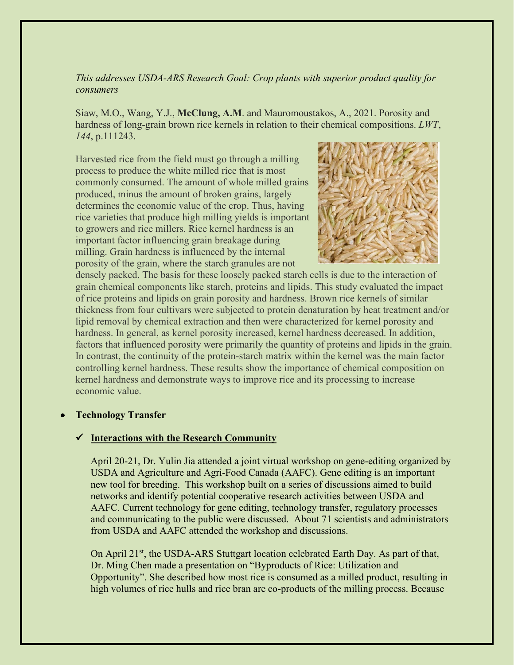*This addresses USDA-ARS Research Goal: Crop plants with superior product quality for consumers* 

Siaw, M.O., Wang, Y.J., **McClung, A.M**. and Mauromoustakos, A., 2021. Porosity and hardness of long-grain brown rice kernels in relation to their chemical compositions. *LWT*, *144*, p.111243.

Harvested rice from the field must go through a milling process to produce the white milled rice that is most commonly consumed. The amount of whole milled grains produced, minus the amount of broken grains, largely determines the economic value of the crop. Thus, having rice varieties that produce high milling yields is important to growers and rice millers. Rice kernel hardness is an important factor influencing grain breakage during milling. Grain hardness is influenced by the internal porosity of the grain, where the starch granules are not



densely packed. The basis for these loosely packed starch cells is due to the interaction of grain chemical components like starch, proteins and lipids. This study evaluated the impact of rice proteins and lipids on grain porosity and hardness. Brown rice kernels of similar thickness from four cultivars were subjected to protein denaturation by heat treatment and/or lipid removal by chemical extraction and then were characterized for kernel porosity and hardness. In general, as kernel porosity increased, kernel hardness decreased. In addition, factors that influenced porosity were primarily the quantity of proteins and lipids in the grain. In contrast, the continuity of the protein-starch matrix within the kernel was the main factor controlling kernel hardness. These results show the importance of chemical composition on kernel hardness and demonstrate ways to improve rice and its processing to increase economic value.

• **Technology Transfer**

### **Interactions with the Research Community**

April 20-21, Dr. Yulin Jia attended a joint virtual workshop on gene-editing organized by USDA and Agriculture and Agri-Food Canada (AAFC). Gene editing is an important new tool for breeding. This workshop built on a series of discussions aimed to build networks and identify potential cooperative research activities between USDA and AAFC. Current technology for gene editing, technology transfer, regulatory processes and communicating to the public were discussed. About 71 scientists and administrators from USDA and AAFC attended the workshop and discussions.

On April 21<sup>st</sup>, the USDA-ARS Stuttgart location celebrated Earth Day. As part of that, Dr. Ming Chen made a presentation on "Byproducts of Rice: Utilization and Opportunity". She described how most rice is consumed as a milled product, resulting in high volumes of rice hulls and rice bran are co-products of the milling process. Because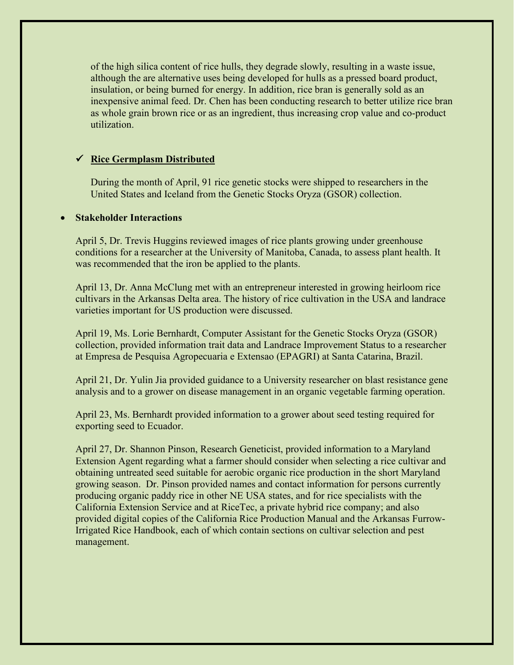of the high silica content of rice hulls, they degrade slowly, resulting in a waste issue, although the are alternative uses being developed for hulls as a pressed board product, insulation, or being burned for energy. In addition, rice bran is generally sold as an inexpensive animal feed. Dr. Chen has been conducting research to better utilize rice bran as whole grain brown rice or as an ingredient, thus increasing crop value and co-product utilization.

### **Rice Germplasm Distributed**

During the month of April, 91 rice genetic stocks were shipped to researchers in the United States and Iceland from the Genetic Stocks Oryza (GSOR) collection.

### • **Stakeholder Interactions**

April 5, Dr. Trevis Huggins reviewed images of rice plants growing under greenhouse conditions for a researcher at the University of Manitoba, Canada, to assess plant health. It was recommended that the iron be applied to the plants.

April 13, Dr. Anna McClung met with an entrepreneur interested in growing heirloom rice cultivars in the Arkansas Delta area. The history of rice cultivation in the USA and landrace varieties important for US production were discussed.

April 19, Ms. Lorie Bernhardt, Computer Assistant for the Genetic Stocks Oryza (GSOR) collection, provided information trait data and Landrace Improvement Status to a researcher at Empresa de Pesquisa Agropecuaria e Extensao (EPAGRI) at Santa Catarina, Brazil.

April 21, Dr. Yulin Jia provided guidance to a University researcher on blast resistance gene analysis and to a grower on disease management in an organic vegetable farming operation.

April 23, Ms. Bernhardt provided information to a grower about seed testing required for exporting seed to Ecuador.

April 27, Dr. Shannon Pinson, Research Geneticist, provided information to a Maryland Extension Agent regarding what a farmer should consider when selecting a rice cultivar and obtaining untreated seed suitable for aerobic organic rice production in the short Maryland growing season. Dr. Pinson provided names and contact information for persons currently producing organic paddy rice in other NE USA states, and for rice specialists with the California Extension Service and at RiceTec, a private hybrid rice company; and also provided digital copies of the California Rice Production Manual and the Arkansas Furrow-Irrigated Rice Handbook, each of which contain sections on cultivar selection and pest management.